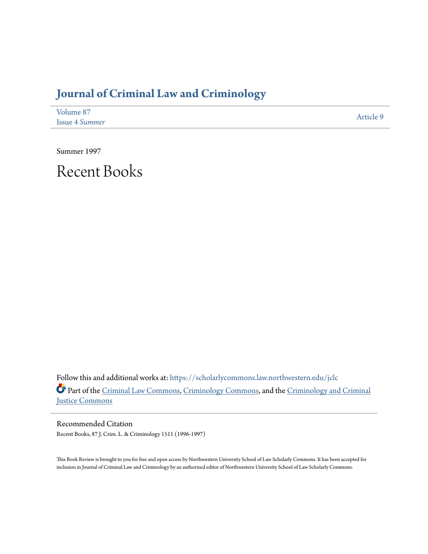## **[Journal of Criminal Law and Criminology](https://scholarlycommons.law.northwestern.edu/jclc?utm_source=scholarlycommons.law.northwestern.edu%2Fjclc%2Fvol87%2Fiss4%2F9&utm_medium=PDF&utm_campaign=PDFCoverPages)**

| Volume 87             | Article 9 |
|-----------------------|-----------|
| <b>Issue 4 Summer</b> |           |

Summer 1997

Recent Books

Follow this and additional works at: [https://scholarlycommons.law.northwestern.edu/jclc](https://scholarlycommons.law.northwestern.edu/jclc?utm_source=scholarlycommons.law.northwestern.edu%2Fjclc%2Fvol87%2Fiss4%2F9&utm_medium=PDF&utm_campaign=PDFCoverPages) Part of the [Criminal Law Commons](http://network.bepress.com/hgg/discipline/912?utm_source=scholarlycommons.law.northwestern.edu%2Fjclc%2Fvol87%2Fiss4%2F9&utm_medium=PDF&utm_campaign=PDFCoverPages), [Criminology Commons](http://network.bepress.com/hgg/discipline/417?utm_source=scholarlycommons.law.northwestern.edu%2Fjclc%2Fvol87%2Fiss4%2F9&utm_medium=PDF&utm_campaign=PDFCoverPages), and the [Criminology and Criminal](http://network.bepress.com/hgg/discipline/367?utm_source=scholarlycommons.law.northwestern.edu%2Fjclc%2Fvol87%2Fiss4%2F9&utm_medium=PDF&utm_campaign=PDFCoverPages) [Justice Commons](http://network.bepress.com/hgg/discipline/367?utm_source=scholarlycommons.law.northwestern.edu%2Fjclc%2Fvol87%2Fiss4%2F9&utm_medium=PDF&utm_campaign=PDFCoverPages)

Recommended Citation Recent Books, 87 J. Crim. L. & Criminology 1511 (1996-1997)

This Book Review is brought to you for free and open access by Northwestern University School of Law Scholarly Commons. It has been accepted for inclusion in Journal of Criminal Law and Criminology by an authorized editor of Northwestern University School of Law Scholarly Commons.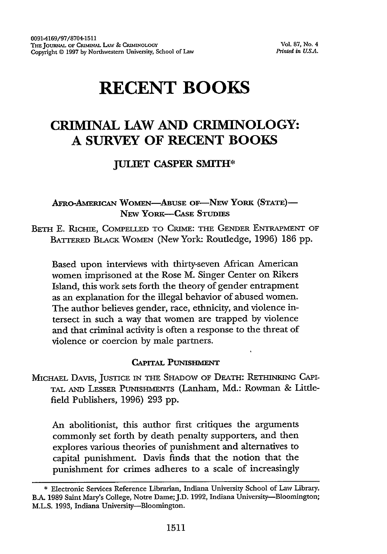# **RECENT BOOKS**

### **CRIMINAL LAW AND CRIMINOLOGY: A SURVEY OF RECENT BOOKS**

#### **JULIET CASPER SMITH\***

AFRO-AMERICAN WOMEN-ABUSE OF-NEW YORK (STATE)-NEW YORK-CASE **STUDIES**

BETH E. RICHIE, COMPELLED TO CRIME: THE GENDER ENTRAPMENT OF BATTERED BLACK WOMEN (New York: Routledge, 1996) 186 **pp.**

Based upon interviews with thirty-seven African American women imprisoned at the Rose M. Singer Center on Rikers Island, this work sets forth the theory of gender entrapment as an explanation for the illegal behavior of abused women. The author believes gender, race, ethnicity, and violence intersect in such a way that women are trapped by violence and that criminal activity is often a response to the threat of violence or coercion by male partners.

#### **CAPITAL PUNISHMENT**

MICHAEL DAVIS, JUSTICE **IN THE** SHADOW OF DEATH: RETHINKING CAPI-TAL **AND** LESSER PUNISHMENTS (Lanham, Md.: Rowman & Littlefield Publishers, 1996) 293 pp.

An abolitionist, this author first critiques the arguments commonly set forth by death penalty supporters, and then explores various theories of punishment and alternatives to capital punishment. Davis finds that the notion that the punishment for crimes adheres to a scale of increasingly

**<sup>\*</sup>** Electronic Services Reference Librarian, Indiana University School of Law Library. **BA.** 1989 Saint Mary's College, Notre Dame;J.D. 1992, Indiana University-Bloomington; M.L.S. 1993, Indiana University--Bloomington.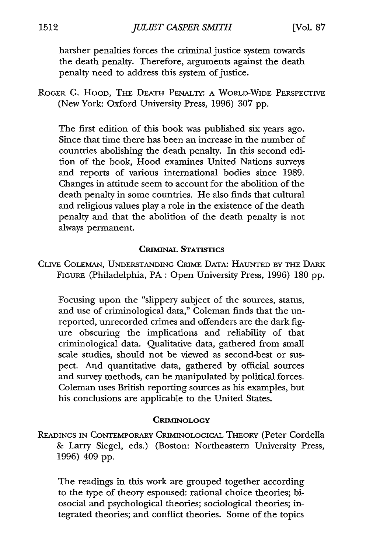harsher penalties forces the criminal justice system towards the death penalty. Therefore, arguments against the death penalty need to address this system of justice.

ROGER G. HOOD, THE DEATH PENALTY: A WORLD-WIDE PERSPECTIVE (New York: Oxford University Press, 1996) 307 pp.

The first edition of this book was published six years ago. Since that time there has been an increase in the number of countries abolishing the death penalty. In this second edition of the book, Hood examines United Nations surveys and reports of various international bodies since 1989. Changes in attitude seem to account for the abolition of the death penalty in some countries. He also finds that cultural and religious values play a role in the existence of the death penalty and that the abolition of the death penalty is not always permanent.

#### **CRIMINAL STATISTICS**

CLIVE COLEMAN, UNDERSTANDING CRIME DATA: HAUNTED BY THE DARK FIGuRE (Philadelphia, PA: Open University Press, 1996) 180 pp.

Focusing upon the "slippery subject of the sources, status, and use of criminological data," Coleman finds that the unreported, unrecorded crimes and offenders are the dark figure obscuring the implications and reliability of that criminological data. Qualitative data, gathered from small scale studies, should not be viewed as second-best or suspect. And quantitative data, gathered by official sources and survey methods, can be manipulated by political forces. Coleman uses British reporting sources as his examples, but his conclusions are applicable to the United States.

#### **CRIMINOLOGY**

**READINGS IN** CONTEMPORARY CRIMINOLOGICAL THEORY (Peter Cordella & Larry Siegel, eds.) (Boston: Northeastern University Press, 1996) 409 pp.

The readings in this work are grouped together according to the type of theory espoused: rational choice theories; biosocial and psychological theories; sociological theories; integrated theories; and conflict theories. Some of the topics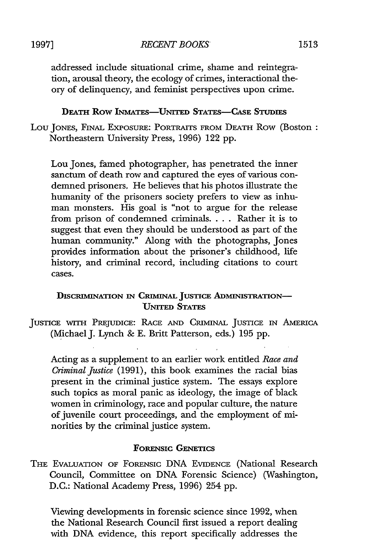addressed include situational crime, shame and reintegration, arousal theory, the ecology of crimes, interactional theory of delinquency, and feminist perspectives upon crime.

#### **DEATH ROW INMATES-UNITED STATES-CASE STUDIES**

LOU JONES, FINAL EXPOSURE: PORTRAITS FROM DEATH ROW (Boston: Northeastern University Press, 1996) 122 **pp.**

Lou Jones, famed photographer, has penetrated the inner sanctum of death row and captured the eyes of various condemned prisoners, He believes that his photos illustrate the humanity of the prisoners society prefers to view as inhuman monsters. His goal is "not to argue for the release from prison of condemned criminals.... Rather it is to suggest that even they should be understood as part of the human community." Along with the photographs, Jones provides information about the prisoner's childhood, life history, and criminal record, including citations to court cases.

#### **DISCRIMINATION IN CRIMINAL JUSTICE ADMINISTRATION-**UNITED STATES

JUSTICE WITH PREJUDICE: RACE **AND** CRIMINAL JUSTICE IN AMERICA (Michael J. Lynch & E. Britt Patterson, eds.) 195 pp.

Acting as a supplement to an earlier work entitled *Race and Criminal Justice* (1991), this book examines the racial bias present in the criminal justice system. The essays explore such topics as moral panic as ideology, the image of black women in criminology, race and popular culture, the nature of juvenile court proceedings, and the employment of minorities by the criminal justice system.

#### **FORENSIC GENETICS**

THE EVALUATION OF FORENSIC DNA EVIDENCE (National Research Council, Committee on **DNA** Forensic Science) (Washington, **D.C.:** National Academy Press, 1996) 254 **pp.**

Viewing developments in forensic science since **1992,** when the National Research Council first issued a report dealing with DNA evidence, this report specifically addresses the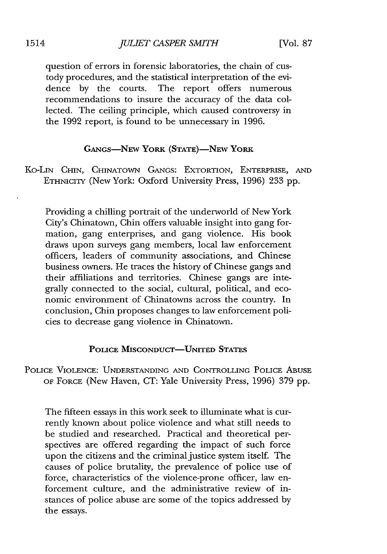question of errors in forensic laboratories, the chain of custody procedures, and the statistical interpretation of the evidence by the courts. The report offers numerous recommendations to insure the accuracy of the data collected. The ceiling principle, which caused controversy in the 1992 report, is found to be unnecessary in 1996.

#### GANGS-NEW **YORK** (STATE)-NEw **YORK**

Ko-LIN CHIN, CHINATOWN GANGS: EXTORTION, ENTERPRISE, AND ETHNICITY (New York: Oxford University Press, 1996) 233 pp.

Providing a chilling portrait of the underworld of New York City's Chinatown, Chin offers valuable insight into gang formation, gang enterprises, and gang violence. His book draws upon surveys gang members, local law enforcement officers, leaders of community associations, and Chinese business owners. He traces the history of Chinese gangs and their affiliations and territories. Chinese gangs are integrally connected to the social, cultural, political, and economic environment of Chinatowns across the country. In conclusion, Chin proposes changes to law enforcement policies to decrease gang violence in Chinatown.

#### POLICE MISCONDUCT-UNITED STATES

POLICE **VIOLENCE: UNDERSTANDING** AND CONTROLLING POLICE ABUSE OF FORCE (New Haven, CT: Yale University Press, 1996) **379** pp.

The fifteen essays in this work seek to illuminate what is currently known about police violence and what still needs to be studied and researched. Practical and theoretical perspectives are offered regarding the impact of such force upon the citizens and the criminal justice system itself. The causes of police brutality, the prevalence of police use of force, characteristics of the violence-prone officer, law enforcement culture, and the administrative review of instances of police abuse are some of the topics addressed by the essays.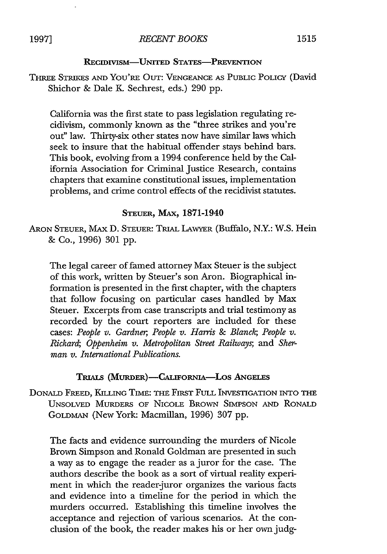#### **RECIDIVISM-UNITED STATES-PREVENTION**

THREE STRIKES **AND** YOU'RE OUT: VENGEANCE **AS** PUBLIC POLICY (David Shichor & Dale K. Sechrest, eds.) 290 pp.

California was the first state to pass legislation regulating recidivism, commonly known as the "three strikes and you're out" law. Thirty-six other states now have similar laws which seek to insure that the habitual offender stays behind bars. This book, evolving from a 1994 conference held by the California Association for Criminal Justice Research, contains chapters that examine constitutional issues, implementation problems, and crime control effects of the recidivist statutes.

#### STEUER, MAx, **1871-1940**

ARON STEUER, MAX D. STEUER: TRIAL LAWYER (Buffalo, N.Y.: W.S. Hein & Co., 1996) 301 pp.

The legal career of famed attorney Max Steuer is the subject of this work, written by Steuer's son Aron. Biographical information is presented in the first chapter, with the chapters that follow focusing on particular cases handled by Max Steuer. Excerpts from case transcripts and trial testimony as recorded by the court reporters are included for these cases: *People v. Gardner, People v. Harris & Blanch; People v. Richard; Oppenheim v. Metropolitan Street Railways, and Sherman v. International Publications.*

#### TRIALS (MURDER)-CALIFORNIA-LOS ANGELES

DONALD FREED, KILLING TIME: THE FIRST FULL INVESTIGATION **INTO** THE UNSOLVED MURDERS OF NICOLE BROWN SIMPSON **AND** RONALD GOLDMAN (New York: Macmillan, 1996) **307** pp.

The facts and evidence surrounding the murders of Nicole Brown Simpson and Ronald Goldman are presented in such a way as to engage the reader as a juror for the case. The authors describe the book as a sort of virtual reality experiment in which the reader-juror organizes the various facts and evidence into a timeline for the period in which the murders occurred. Establishing this timeline involves the acceptance and rejection of various scenarios. At the conclusion of the book, the reader makes his or her own judg